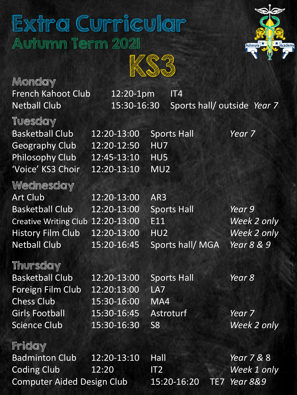# Extra Curricular Autumn Term 2021



KS3

Monday French Kahoot Club 12:20-1pm IT4

Tuesday

Netball Club 15:30-16:30 Sports hall/ outside *Year 7*

| <b>E WE DE THE WILL SEE OF THE STATE OF THE STATE OF THE STATE OF THE STATE OF THE STATE OF THE STATE OF THE STATE</b> |                          |                    |                    |
|------------------------------------------------------------------------------------------------------------------------|--------------------------|--------------------|--------------------|
| <b>Basketball Club</b>                                                                                                 | $\overline{12:20-13:00}$ | <b>Sports Hall</b> | Year <sub>7</sub>  |
| <b>Geography Club</b>                                                                                                  | 12:20-12:50              | HU7                |                    |
| <b>Philosophy Club</b>                                                                                                 | 12:45-13:10              | HU5                |                    |
| 'Voice' KS3 Choir                                                                                                      | 12:20-13:10              | MU <sub>2</sub>    |                    |
| Wednesday                                                                                                              |                          |                    |                    |
| Art Club                                                                                                               | 12:20-13:00              | AR3                |                    |
| <b>Basketball Club</b>                                                                                                 | 12:20-13:00              | <b>Sports Hall</b> | Year 9             |
| Creative Writing Club 12:20-13:00                                                                                      |                          | E11                | Week 2 only        |
| <b>History Film Club</b>                                                                                               | 12:20-13:00              | HU2                | <b>Week 2 only</b> |
| <b>Netball Club</b>                                                                                                    | 15:20-16:45              | Sports hall/MGA    | Year 8 & 9         |

#### Thursday

Basketball Club 12:20-13:00 Sports Hall *Year 8* Foreign Film Club 12:20:13:00 LA7 Chess Club 15:30-16:00 MA4 Girls Football 15:30-16:45 Astroturf *Year 7* Science Club 15:30-16:30 S8 *Week 2 only*

### Friday

Badminton Club 12:20-13:10 Hall *Year 7 &* 8 Coding Club 12:20 IT2 *Week 1 only* Computer Aided Design Club 15:20-16:20 TE7 *Year 8&9*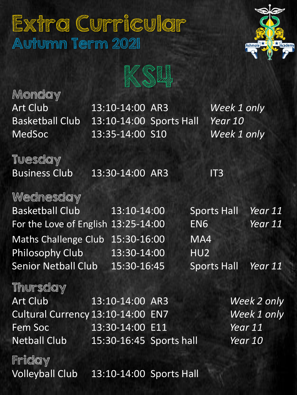# Extra Curricular Autumn Term 2021



KS4

Monday

Art Club 13:10-14:00 AR3 *Week 1 only* Basketball Club 13:10-14:00 Sports Hall *Year 10* MedSoc 13:35-14:00 S10 *Week 1 only*

Tuesday

Business Club 13:30-14:00 AR3 IT3

#### Wednesday

Basketball Club 13:10-14:00 Sports Hall *Year 11* For the Love of English 13:25-14:00 EN6 *Year 11* Maths Challenge Club 15:30-16:00 MA4 Philosophy Club 13:30-14:00 HU2 Senior Netball Club 15:30-16:45 Sports Hall *Year 11*

#### Thursday

| <b>Art Club</b>                   | $13:10 - 14:00$ AR3     | Week 2 only |
|-----------------------------------|-------------------------|-------------|
| Cultural Currency 13:10-14:00 EN7 |                         | Week 1 only |
| <b>Fem Soc</b>                    | 13:30-14:00 E11         | Year 11     |
| <b>Netball Club</b>               | 15:30-16:45 Sports hall | Year 10     |

Friday

Volleyball Club 13:10-14:00 Sports Hall